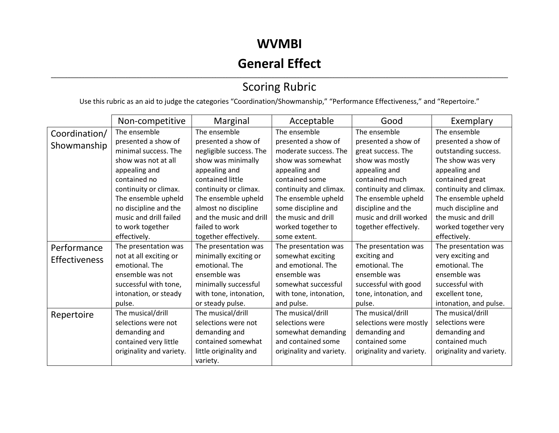## **WVMBI**

# **General Effect**

### ,我们也不会不会不会。""我们的,我们也不会不会不会不会不会不会不会不会。""我们的,我们也不会不会不会不会不会不会不会不会。""我们的,我们也不会不会不会不会 Scoring Rubric

Use this rubric as an aid to judge the categories "Coordination/Showmanship," "Performance Effectiveness," and "Repertoire."

|               | Non-competitive          | Marginal                | Acceptable               | Good                     | Exemplary                |
|---------------|--------------------------|-------------------------|--------------------------|--------------------------|--------------------------|
| Coordination/ | The ensemble             | The ensemble            | The ensemble             | The ensemble             | The ensemble             |
| Showmanship   | presented a show of      | presented a show of     | presented a show of      | presented a show of      | presented a show of      |
|               | minimal success. The     | negligible success. The | moderate success. The    | great success. The       | outstanding success.     |
|               | show was not at all      | show was minimally      | show was somewhat        | show was mostly          | The show was very        |
|               | appealing and            | appealing and           | appealing and            | appealing and            | appealing and            |
|               | contained no             | contained little        | contained some           | contained much           | contained great          |
|               | continuity or climax.    | continuity or climax.   | continuity and climax.   | continuity and climax.   | continuity and climax.   |
|               | The ensemble upheld      | The ensemble upheld     | The ensemble upheld      | The ensemble upheld      | The ensemble upheld      |
|               | no discipline and the    | almost no discipline    | some discipline and      | discipline and the       | much discipline and      |
|               | music and drill failed   | and the music and drill | the music and drill      | music and drill worked   | the music and drill      |
|               | to work together         | failed to work          | worked together to       | together effectively.    | worked together very     |
|               | effectively.             | together effectively.   | some extent.             |                          | effectively.             |
| Performance   | The presentation was     | The presentation was    | The presentation was     | The presentation was     | The presentation was     |
| Effectiveness | not at all exciting or   | minimally exciting or   | somewhat exciting        | exciting and             | very exciting and        |
|               | emotional. The           | emotional. The          | and emotional. The       | emotional. The           | emotional. The           |
|               | ensemble was not         | ensemble was            | ensemble was             | ensemble was             | ensemble was             |
|               | successful with tone,    | minimally successful    | somewhat successful      | successful with good     | successful with          |
|               | intonation, or steady    | with tone, intonation,  | with tone, intonation,   | tone, intonation, and    | excellent tone,          |
|               | pulse.                   | or steady pulse.        | and pulse.               | pulse.                   | intonation, and pulse.   |
| Repertoire    | The musical/drill        | The musical/drill       | The musical/drill        | The musical/drill        | The musical/drill        |
|               | selections were not      | selections were not     | selections were          | selections were mostly   | selections were          |
|               | demanding and            | demanding and           | somewhat demanding       | demanding and            | demanding and            |
|               | contained very little    | contained somewhat      | and contained some       | contained some           | contained much           |
|               | originality and variety. | little originality and  | originality and variety. | originality and variety. | originality and variety. |
|               |                          | variety.                |                          |                          |                          |